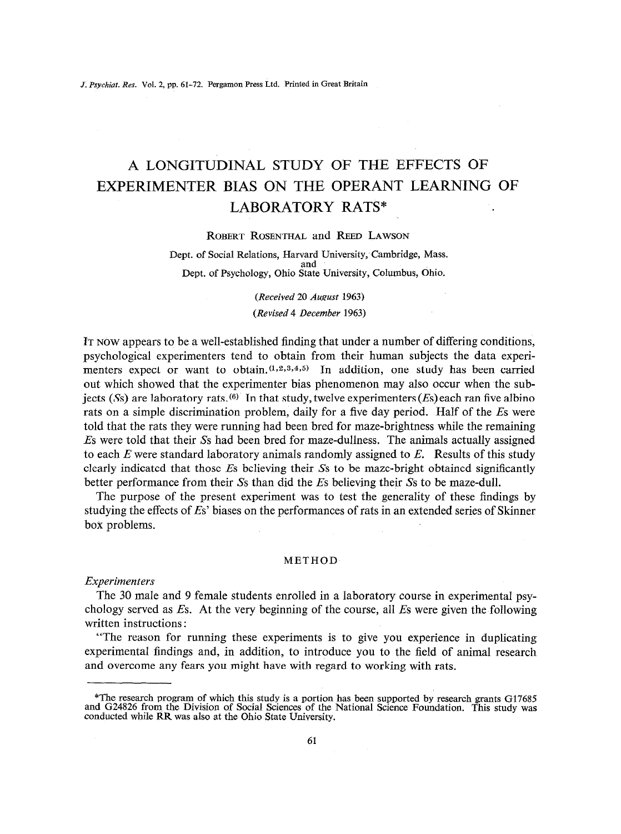**J. Psychiat. Res. Vol. 2, pp. 61-12. Pergamon Press Ltd. Printed in Great Britain** 

# **A LONGITUDINAL STUDY OF THE EFFECTS OF EXPERIMENTER BIAS ON THE OPERANT LEARNING OF LABORATORY RATS\***

### ROBERT ROSENTHAL and REED LAWSON

Dept. of Social Relations, Harvard University, Cambridge, Mass. and Dept. of Psychology, Ohio State University, Columbus, Ohio.

> *(Received 20 August 1963) (Revised 4 December* 1963)

**IT NOW** appears to be a well-established finding that under a number of differing conditions, psychological experimenters tend to obtain from their human subjects the data experimenters expect or want to obtain.<sup>(1,2,3,4,5)</sup> In addition, one study has been carried out which showed that the experimenter bias phenomenon may also occur when the subjects (Ss) are laboratory rats.  $(6)$  In that study, twelve experimenters (Es) each ran five albino rats on a simple discrimination problem, daily for a five day period. Half of the *Es* were told that the rats they were running had been bred for maze-brightness while the remaining *Es* were told that their Ss had been bred for maze-dullness. The animals actually assigned to each *E* were standard laboratory animals randomly assigned to *E.* Results of this study clearly indicated that those *Es* believing their Ss to be maze-bright obtained significantly better performance from their Ss than did the *Es* believing their Ss to be maze-dull.

The purpose of the present experiment was to test the generality of these findings by studying the effects of *Es'* biases on the performances of rats in an extended series of Skinner box problems.

#### METHOD

#### *Experimenters*

The 30 male and 9 female students enrolled in a laboratory course in experimental psychology served as *Es.* At the very beginning of the course, all *Es* were given the following written instructions :

"The reason for running these experiments is to give you experience in duplicating experimental findings and, in addition, to introduce you to the field of animal research and overcome any fears you might have with regard to working with rats.

<sup>\*</sup>The research program of which this study is a portion has been supported by research grants G17685 and G24826 from the Division of Social Sciences of the National Science Foundation. This study was conducted while RR was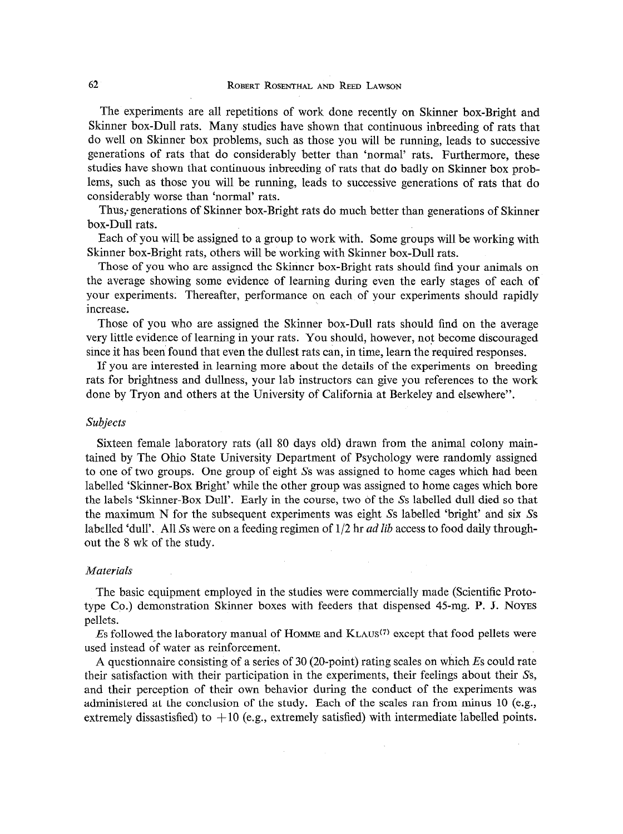The experiments are all repetitions of work done recently on Skinner box-Bright and Skinner box-Dull rats. Many studies have shown that continuous inbreeding of rats that do well on Skinner box problems, such as those you will be running, leads to successive generations of rats that do considerably better than 'normal' rats. Furthermore, these studies have shown that continuous inbreeding of rats that do badly on Skinner box problems, such as those you will be running, leads to successive generations of rats that do considerably worse than 'normal' rats.

Thus; generations of Skinner box-Bright rats do much better than generations of Skinner box-Dull rats.

Each of you will be assigned to a group to work with. Some groups will be working with Skinner box-Bright rats, others will be working with Skinner box-Dull rats.

Those of you who are assigned the Skinner box-Bright rats should find your animals on the average showing some evidence of learning during even the early stages of each of your experiments. Thereafter, performance on each of your experiments should rapidly increase.

Those of you who are assigned the Skinner box-Dull rats should find on the average very little evidence of learning in your rats. You should, however, not become discouraged since it has been found that even the dullest rats can, in time, learn the required responses.

If you are interested in learning more about the details of the experiments on breeding rats for brightness and dullness, your lab instructors can give you references to the work done by Tryon and others at the University of California at Berkeley and elsewhere".

### Subjects

Sixteen female laboratory rats (all 80 days old) drawn from the animal colony maintained by The Ohio State University Department of Psychology were randomly assigned to one of two groups. One group of eight Ss was assigned to home cages which had been labelled 'Skinner-Box Bright' while the other group was assigned to home cages which bore the labels 'Skinner-Box Dull'. Early in the course, two of the Ss labelled dull died so that the maximum N for the subsequent experiments was eight Ss labelled 'bright' and six Ss labelled 'dull'. All Ss were on a feeding regimen of l/2 hr *ad lib* access to food daily throughout the 8 wk of the study.

## *Materials*

The basic equipment employed in the studies were commercially made (Scientific Prototype Co.) demonstration Skinner boxes with feeders that dispensed 45-mg. P. J. NOVES pellets.

*.Es* followed the laboratory manual of **HOMME** and **KLAUS(~)** except that food pellets were used instead df water as reinforcement.

A questionnaire consisting of a series of 30 (20-point) rating scales on which Es could rate their satisfaction with their participation in the experiments, their feelings about their Ss, and their perception of their own behavior during the conduct of the experiments was administered at the conclusion of the study. Each of the scales ran from minus 10 (e.g., extremely dissastisfied) to  $+10$  (e.g., extremely satisfied) with intermediate labelled points.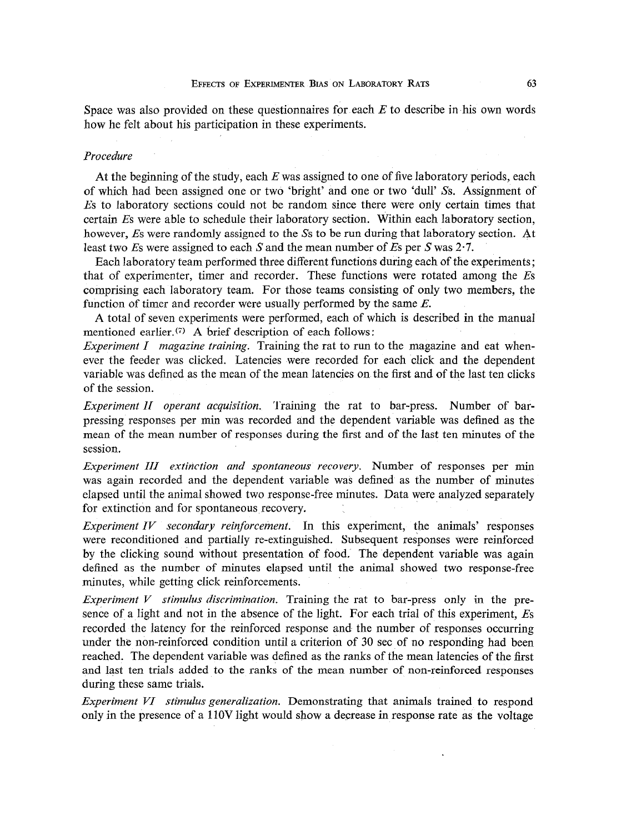Space was also provided on these questionnaires for each *E* to describe in his own words how he felt about his participation in these experiments.

## *Procedure*

At the beginning of the study, each *E* was assigned to one of five laboratory periods, each of which had been assigned one or two 'bright' and one or two 'dull' Ss. Assignment of *Es* to laboratory sections could not be random since there were only certain times that certain *Es* were able to schedule their laboratory section. Within each laboratory section, however, *Es* were randomly assigned to the Ss to be run during that laboratory section. At least two *Es* were assigned to each S and the mean number of *Es* per S was 2.7.

Each laboratory team performed three different functions during each of the experiments; that of experimenter, timer and recorder. These functions were rotated among the *Es*  comprising each laboratory team. For those teams consisting of only two members, the function of timer and recorder were usually performed by the same *E.* 

A total of seven experiments were performed, each of which is described in the manual mentioned earlier.<sup>(7)</sup> A brief description of each follows:

*Experiment I magazine training.* Training the rat to run to the magazine and eat whenever the feeder was clicked. Latencies were recorded for each click and the dependent variable was defined as the mean of the mean latencies on the first and of the last ten clicks of the session.

*Experiment II operant acquisition.* Training the rat to bar-press. Number of barpressing responses per min was recorded and the dependent variable was defined as the mean of the mean number of responses during the first and of the last ten minutes of the session.

*Experiment III extiriction and spontaneous recovery.* Number of responses per min was again recorded and the dependent variable was defined as the number of minutes elapsed until the animal showed two response-free minutes. Data were analyzed separately for extinction and for spontaneous recovery.

*Experiment IV secondary reinforcement.* In this experiment, the animals' responses were reconditioned and partially re-extinguished. Subsequent responses were reinforced by the clicking sound without presentation of food. The dependent variable was again defined as the number of minutes elapsed until the animal showed two response-free minutes, while getting click reinforcements.

*Experiment V stimulus discrimination,* Training the rat to bar-press only in the presence of a light and not in the absence of the light. For each trial of this experiment, *Es*  recorded the latency for the reinforced response and the number of responses occurring under the non-reinforced condition until a criterion of 30 sec of no responding had been reached. The dependent variable was defined as the ranks of the mean latencies of the first and last ten trials added to the ranks of the mean number of non-reinforced responses during these same trials.

*Experiment VI stimulus generalization.* Demonstrating that animals trained to respond only in the presence of a 1 IOV light would show a decrease in response rate as the voltage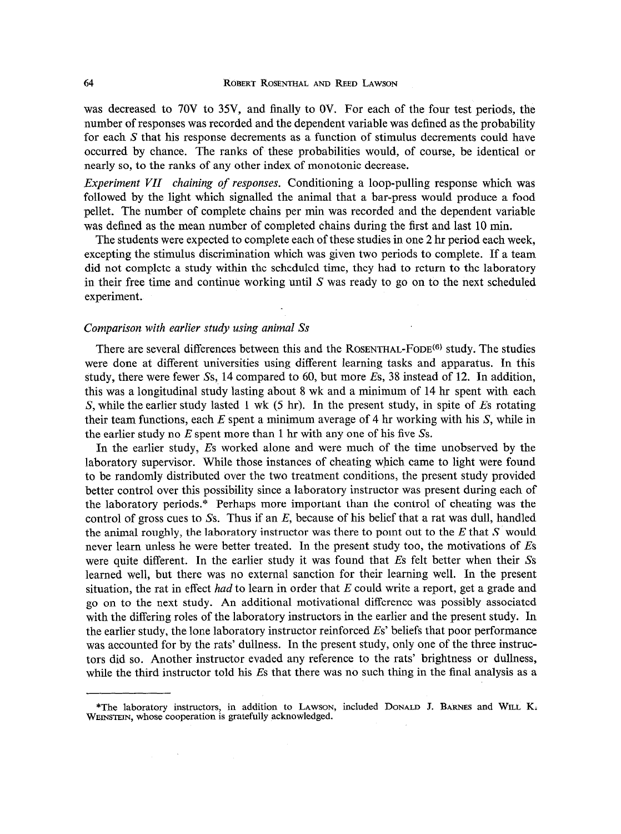was decreased to 7OV to 35V, and finally to OV. For each of the four test periods, the number of responses was recorded and the dependent variable was defined as the probability for each S that his response decrements as a function of stimulus decrements could have occurred by chance. The ranks of these probabilities would, of course, be identical or nearly so, to the ranks of any other index of monotonic decrease.

*Experiment VII chaining of responses.* Conditioning a loop-pulling response which was followed by the light which signalled the animal that a bar-press would produce a food pellet. The number of complete chains per min was recorded and the dependent variable was defined as the mean number of completed chains during the first and last 10 min.

The students were expected to complete each of these studies in one 2 hr period each week, excepting the stimulus discrimination which was given two periods to complete. If a team did not complete a study within the scheduled time, they had to return to the laboratory in their free time and continue working until  $S$  was ready to go on to the next scheduled experiment.

### *Comparison with earlier study using animal Ss*

There are several differences between this and the **ROSENTHAL-FODE(@** study. The studies were done at different universities using different learning tasks and apparatus. In this study, there were fewer Ss, 14 compared to 60, but more *Es,* 38 instead of 12. In addition, this was a longitudinal study lasting about 8 wk and a minimum of 14 hr spent with each S, while the earlier study lasted 1 wk (5 hr). In the present study, in spite of *Es* rotating their team functions, each *E* spent a minimum average of 4 hr working with his S, while in the earlier study no *E* spent more than 1 hr with any one of his five Ss.

In the earlier study, *Es* worked alone and were much of the time unobserved by the laboratory supervisor. While those instances of cheating which came to light were found to be randomly distributed over the two treatment conditions, the present study provided better control over this possibility since a laboratory instructor was present during each of the laboratory periods.\* Perhaps more important than the control of cheating was the control of gross cues to Ss. Thus if an *E,* because of his belief that a rat was dull, handled the animal roughly, the laboratory instructor was there to point out to the *E* that S would never learn unless he were better treated. In the present study too, the motivations of *Es*  were quite different. In the earlier study it was found that *Es* felt better when their Ss learned well, but there was no external sanction for their learning well. In the present situation, the rat in effect *had* to learn in order that *E* could write a report, get a grade and go on to the next study. An additional motivational difference was possibly associated with the differing roles of the laboratory instructors in the earlier and the present study. In the earlier study, the lone laboratory instructor reinforced *Es'* beliefs that poor performance was accounted for by the rats' dullness. In the present study, only one of the three instructors did so. Another instructor evaded any reference to the rats' brightness or dullness, while the third instructor told his *Es* that there was no such thing in the final analysis as a

**<sup>\*</sup>The laboratory instructors? in addition to LAWSON, included DONALD J. BARNES and WILL K. WEINSTEIN, whose cooperation IS gratefully acknowledged.**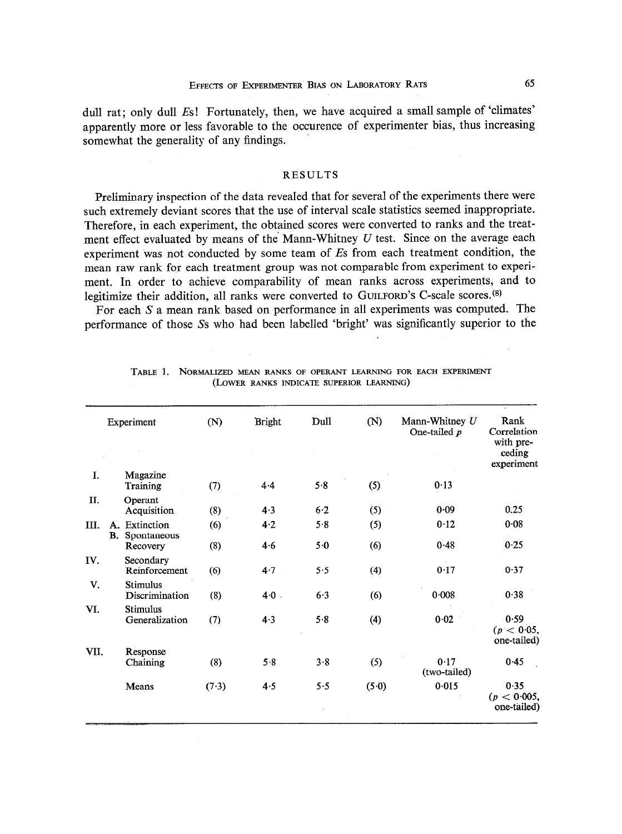dull rat; only dull *Es!* Fortunately, then, we have acquired a small sample of 'climates' apparently more or less favorable to the occurence of experimenter bias, thus increasing somewhat the generality of any findings.

### RESULTS

Preliminary inspection of the data revealed that for several of the experiments there were such extremely deviant scores that the use of interval scale statistics seemed inappropriate. Therefore, in each experiment, the obtained scores were converted to ranks and the treatment effect evaluated by means of the Mann-Whitney  $U$  test. Since on the average each experiment was not conducted by some team of *Es* from each treatment condition, the mean raw rank for each treatment group was not comparable from experiment to experiment. In order to achieve comparability of mean ranks across experiments, and to legitimize their addition, all ranks were converted to GUILFORD'S C-scale scores.(s)

For each S a mean rank based on performance in all experiments was computed. The performance of those Ss who had been labelled 'bright' was significantly superior to the

| Experiment                        | (N)                       | <b>Bright</b> | Dull  | (N)   | Mann-Whitney U<br>One-tailed p | Rank<br>Correlation<br>with pre-<br>ceding<br>experiment |
|-----------------------------------|---------------------------|---------------|-------|-------|--------------------------------|----------------------------------------------------------|
| Magazine<br>Training              | (7)                       | $4-4$         | 5.8   | (5)   | 0.13                           |                                                          |
| Operant<br>Acquisition            |                           | 4.3           | $6-2$ | (5)   | $0 - 09$                       | 0.25                                                     |
| Extinction<br>А.                  | (6)                       | 4.2           | 5.8   | (5)   | 0.12                           | 0.08                                                     |
| Recovery                          | (8)                       | 4.6           | 5.0   | (6)   | 0.48                           | 0.25                                                     |
| Secondary<br>Reinforcement        | (6)                       | 4.7           | 5.5   | (4)   | 0.17                           | 0.37                                                     |
| <b>Stimulus</b><br>Discrimination | (8)                       | $4.0$ .       | 6.3   | (6)   | 0.008                          | 0.38                                                     |
| <b>Stimulus</b><br>Generalization | (7)                       | 4.3           | 5.8   | (4)   | 0.02                           | 0.59<br>(p < 0.05,<br>one-tailed)                        |
| Response<br>Chaining              | (8)                       | 5.8           | 3.8   | (5)   | 0.17<br>(two-tailed)           | 0.45                                                     |
| Means                             | (7.3)                     | 4.5           | 5.5   | (5.0) | 0.015                          | 0.35<br>(p < 0.005,<br>one-tailed)                       |
|                                   | Spontaneous<br>В.<br>VII. | (8)           |       |       |                                |                                                          |

|                                          | TABLE 1. NORMALIZED MEAN RANKS OF OPERANT LEARNING FOR EACH EXPERIMENT |  |  |  |  |  |  |
|------------------------------------------|------------------------------------------------------------------------|--|--|--|--|--|--|
| (LOWER RANKS INDICATE SUPERIOR LEARNING) |                                                                        |  |  |  |  |  |  |

 $\bar{\psi}$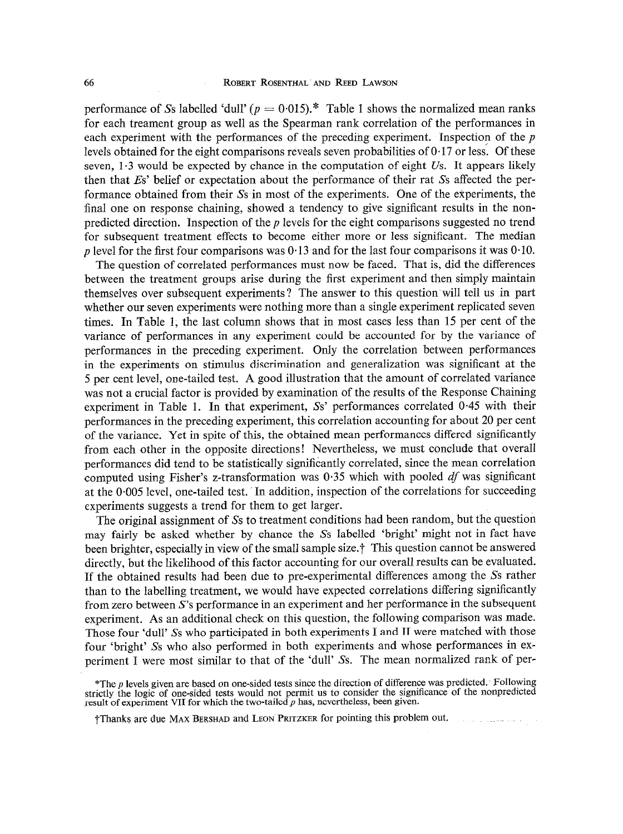performance of Ss labelled 'dull' ( $p = 0.015$ ).\* Table 1 shows the normalized mean ranks for each treament group as well as the Spearman rank correlation of the performances in each experiment with the performances of the preceding experiment. Inspection of the *p levels* obtained for the eight comparisons reveals seven probabilities of 0.17 or less. Of these seven,  $1.3$  would be expected by chance in the computation of eight Us. It appears likely then that *Es'* belief or expectation about the performance of their rat Ss affected the performance obtained from their Ss in most of the experiments. One of the ekperiments, the final one on response chaining, showed a tendency to give significant results in the nonpredicted direction. Inspection of the  $p$  levels for the eight comparisons suggested no trend for subsequent treatment effects to become either more or less significant. The median p level for the first four comparisons was  $0.13$  and for the last four comparisons it was  $0.10$ .

The question of correlated performances must now be faced. That is, did the differences between the treatment groups arise during the first experiment and then simply maintain themselves over subsequent experiments ? The answer to this question'will tell us in part whether our seven experiments were nothing more than a single experiment replicated seven times. In Table 1, the last column shows that in most cases less than 15 per cent of the variance of performances in any experiment could be accounted for by the variance of performances in the preceding experiment. Only the correlation between performances in the experiments on stimulus discrimination and generalization was significant at the 5 per cent level, one-tailed test. A good illustration that the amount of correlated variance was not a crucial factor is provided by examination of the results of the Response Chaining experiment in Table 1. In that experiment, Ss' performances correlated O-45 with their performances in the preceding experiment, this correlation accounting for about 20 per cent of the variance. Yet in spite of this, the obtained mean performances differed significantly from each other in the opposite directions! Nevertheless, we must conclude that overall performances did tend to be statistically significantly correlated, since the mean correlation computed using Fisher's z-transformation was  $0.35$  which with pooled df was significant at the 0.005 level, one-tailed test. ' In addition, inspection of the correlations for succeeding experiments suggests a trend for them to get larger.

The original assignment of Ss to treatment conditions had been random, but the question may fairly be asked whether by chance the Ss labelled 'bright' might not in fact have been brighter, especially in view of the small sample size.? This question cannot be answered directly, but the likelihood of this factor accounting for our overall results can be evaluated. If the obtained results had been due to pre-experimental differences among the Ss rather than to the labelling treatment, we would have expected correlations differing significantly from zero between S's performance in an experiment and her performance in the subsequent experiment. As an additional check on this question, the following comparison was made. Those four 'dull' Ss who participated in both experiments I and II were matched with those four 'bright' Ss who also performed in both experiments and whose performances in experiment I were most similar to that of the 'dull' Ss. The mean normalized rank of per-

استهدامه والمتحدث

<sup>\*</sup>The  $p$  levels given are based on one-sided tests since the direction of difference was predicted. Following strictly the logic of one-sided tests would not permit us to consider the significance of the nonpredicted result of experiment VII for which the two-tailed  $p$  has, nevertheless, been given.

TThanks are due MAX **BBRSHAD** and **LEON PRITZKER** for pointing this problem out.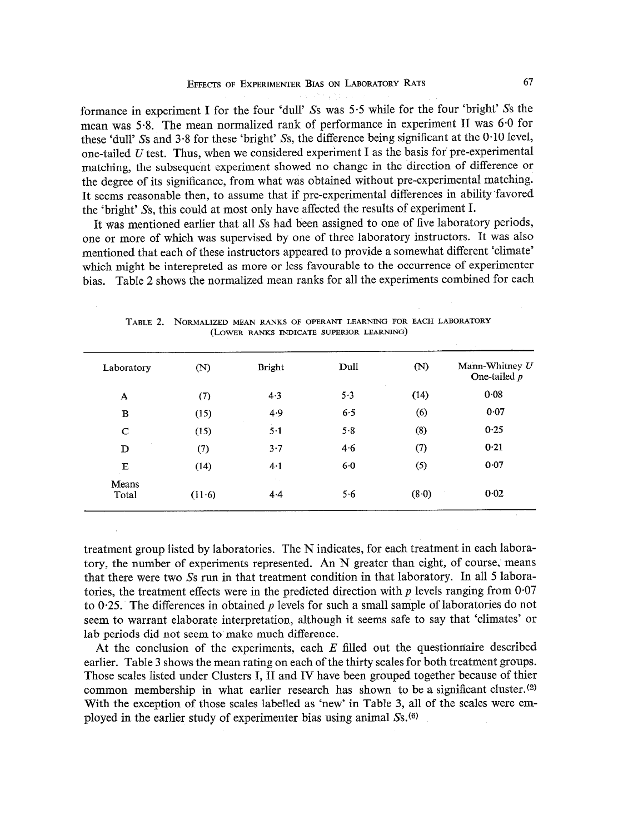formance in experiment I for the four 'dull' Ss was 5.5 while for the four 'bright' Ss the mean was 5.8. The mean normalized rank of performance in experiment II was 6.0 for these 'dull' Ss and 3.8 for these 'bright' Ss, the difference being significant at the 0.10 level, one-tailed  $U$  test. Thus, when we considered experiment I as the basis for pre-experimental matching, the subsequent experiment showed no change in the direction of difference or the degree of its significance, from what was obtained without pre-experimental matching. It seems reasonable then, to assume that if pre-experimental differences in ability favored the 'bright' Ss, this could at most only have affected the results of experiment I.

It was mentioned earlier that all Ss had been assigned to one of five laboratory periods, one or more of which was supervised by one of three laboratory instructors. It was also mentioned that each of these instructors appeared to provide a somewhat different 'climate' which might be interepreted as more or less favourable to the occurrence of experimenter bias. Table 2 shows the normalized mean ranks for all the experiments combined for each

| Laboratory     | (N)    | Bright                       | Dull | (N)   | Mann-Whitney U<br>One-tailed $p$ |
|----------------|--------|------------------------------|------|-------|----------------------------------|
| A              | (7)    | 4.3                          | 5.3  | (14)  | 0.08                             |
| $\bf{B}$       | (15)   | 4.9                          | 6.5  | (6)   | 0.07                             |
| $\mathbf C$    | (15)   | $5-1$                        | 5.8  | (8)   | 0.25                             |
| D              | (7)    | 3.7                          | 4.6  | (7)   | 0.21                             |
| $\mathbf E$    | (14)   | $4-1$                        | 6·0  | (5)   | 0.07                             |
| Means<br>Total | (11.6) | $\sigma_{\rm{max}}$<br>$4-4$ | 5.6  | (8.0) | 0.02                             |

TABLE 2. NORMALIZED MEAN RANKS OF OPERANT LEARNING FOR EACH LABORATORY (LOWER RANKS INDICATE SUPERIOR LEARNING)

treatment group listed by laboratories. The N indicates, for each treatment in each laboratory, the number of experiments represented. An N greater than eight, of course, means that there were two Ss run in that treatment condition in that laboratory. In all 5 laboratories, the treatment effects were in the predicted direction with  $p$  levels ranging from 0.07 to O-25. The differences in obtained p levels for such a small sample of laboratories do not seem to warrant elaborate interpretation, although it seems safe to say that 'climates' or lab periods did not seem to make much difference.

At the conclusion of the experiments, each *E* filled out the questionnaire described earlier. Table 3 shows the mean rating on each of the thirty scales for both treatment groups. Those scales listed under Clusters I, II and IV have been grouped together because of thier common membership in what earlier research has shown to be a significant cluster.<sup>(2)</sup> With the exception of those scales labelled as 'new' in Table 3, all of the scales were employed in the earlier study of experimenter bias using animal Ss.<sup>(6)</sup>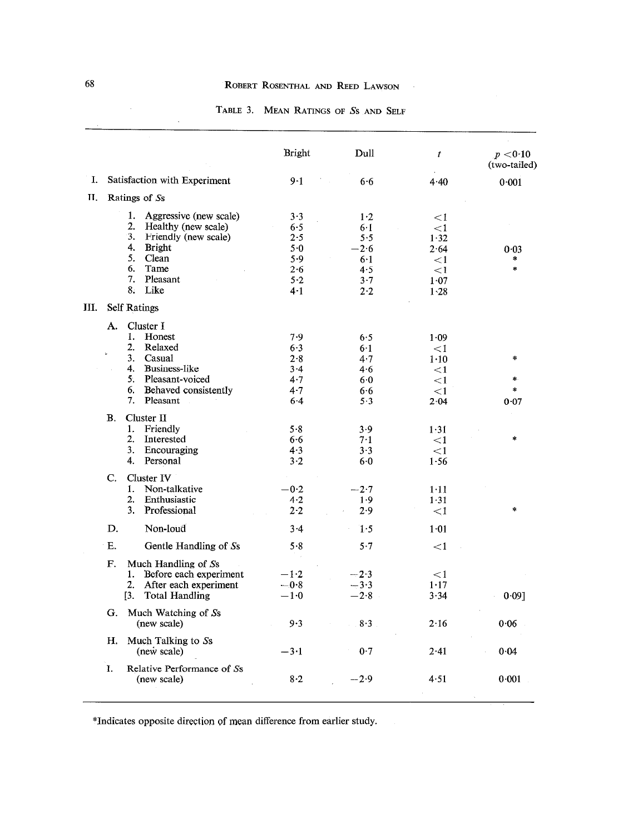# 68 ROBERT ROSENTHAL AND **REED** LAWSON

# TABLE 3. MEAN RATINGS OF SS AND SELF

|    |                                                                                                                                                                             | <b>Bright</b>                                            | Dull                                                          | t                                                                     | p < 0.10<br>(two-tailed)      |
|----|-----------------------------------------------------------------------------------------------------------------------------------------------------------------------------|----------------------------------------------------------|---------------------------------------------------------------|-----------------------------------------------------------------------|-------------------------------|
| I. | Satisfaction with Experiment                                                                                                                                                | $9 - 1$                                                  | 6.6                                                           | 4.40                                                                  | 0.001                         |
| П. | Ratings of Ss                                                                                                                                                               |                                                          |                                                               |                                                                       |                               |
|    | Aggressive (new scale)<br>1.<br>2.<br>Healthy (new scale)<br>3.<br>Friendly (new scale)<br>4.<br><b>Bright</b><br>5.<br>Clean<br>6.<br>Tame<br>7.<br>Pleasant<br>8.<br>Like | 3.3<br>6.5<br>2.5<br>5.0<br>5.9<br>2.6<br>$5-2$<br>$4-1$ | $1-2$<br>6·1<br>5.5<br>$-2.6$<br>$6-1$<br>4.5<br>3.7<br>$2-2$ | $<$ 1<br>${<}1$<br>1.32<br>2.64<br>$<$ 1<br>$<$ 1<br>$1 - 07$<br>1.28 | 0.03<br>*                     |
| Ш. | <b>Self Ratings</b>                                                                                                                                                         |                                                          |                                                               |                                                                       |                               |
|    | Cluster I<br>A.<br>1.<br>Honest<br>2.<br>Relaxed<br>3.<br>Casual<br>4.<br>Business-like<br>5.<br>Pleasant-voiced<br>6.<br>Behaved consistently<br>7.<br>Pleasant            | 7.9<br>6.3<br>2.8<br>3.4<br>4.7<br>$4-7$<br>6.4          | 6.5<br>$6-1$<br>4.7<br>$4 - 6$<br>6.0<br>6.6<br>5.3           | 1.09<br>$<$ 1<br>$1-10$<br>${<}1$<br>${<}1$<br>$<$ 1<br>2:04          | $\ddagger$<br>牽.<br>*<br>0.07 |
|    | Cluster II<br>В.<br>Friendly<br>1.<br>2. Interested<br>3.<br>Encouraging<br>4.<br>Personal                                                                                  | 5.8<br>$6 - 6$<br>4.3<br>$3-2$                           | 3.9<br>$7-1$<br>$3 - 3$<br>6.0                                | 1.31<br>$<$ 1<br>$<$ 1<br>1.56                                        | ×                             |
|    | Cluster IV<br>C.<br>Non-talkative<br>1.<br>2.<br>Enthusiastic<br>Professional<br>3.                                                                                         | $-0.2$<br>4.2<br>2.2                                     | $-2.7$<br>1.9<br>2.9                                          | $1 - 11$<br>1.31<br>$<$ 1                                             | *                             |
|    | D.<br>Non-loud                                                                                                                                                              | 3.4                                                      | 1.5                                                           | $1-01$                                                                |                               |
|    | Е.<br>Gentle Handling of Ss                                                                                                                                                 | 5.8                                                      | $5-7$                                                         | $<$ 1                                                                 |                               |
|    | Much Handling of Ss<br>F.<br>1. Before each experiment<br>2.<br>After each experiment<br><b>Total Handling</b><br>$\mathbf{I}$ 3.                                           | $-1.2$<br>$-0.8$<br>$-1.0$                               | $-2.3$<br>$-3.3$<br>$-2.8$                                    | $<$ 1<br>$1 - 17$<br>3.34                                             | 0.091                         |
|    | G. Much Watching of Ss<br>(new scale)                                                                                                                                       | 9.3                                                      | 8.3                                                           | 2.16                                                                  | 0.06                          |
|    | Much Talking to Ss<br>Η.<br>(new scale)                                                                                                                                     | $-3.1$                                                   | 0.7                                                           | 2.41                                                                  | 0.04                          |
|    | I.<br>Relative Performance of Ss<br>(new scale)                                                                                                                             | $8-2$                                                    | $-2.9$                                                        | 4.51                                                                  | 0.001                         |
|    |                                                                                                                                                                             |                                                          |                                                               |                                                                       |                               |

\*Indicates opposite direction of mean difference from earlier study.

J.

 $\overline{a}$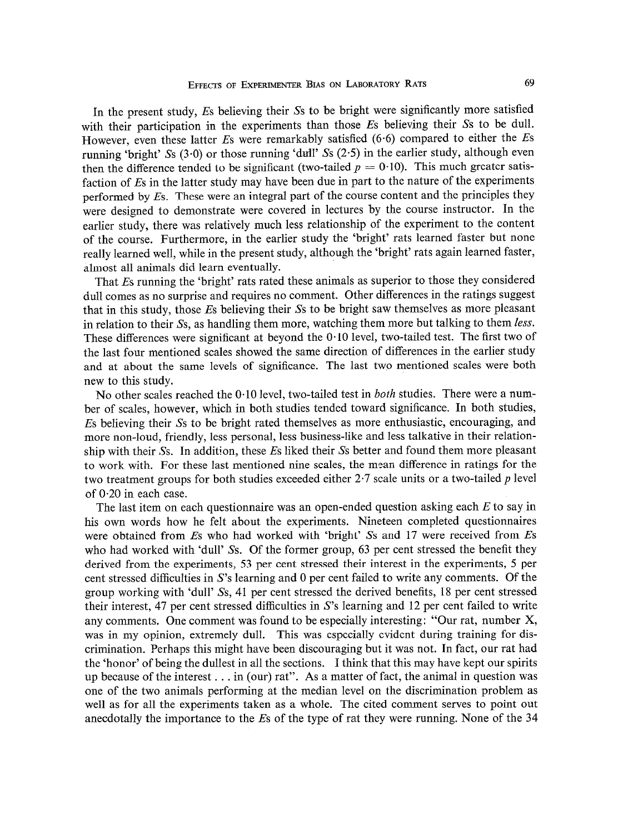In the present study, *Es* believing their Ss to be bright were significantly more satisfied with their participation in the experiments than those *Es* believing their *Ss* to be dull. However, even these latter *Es* were remarkably satisfied (6.6) compared to either the Es running 'bright' Ss (3-O) or those running 'dull' Ss (2.5) in the earlier study, although even then the difference tended to be significant (two-tailed  $p = 0.10$ ). This much greater satisfaction of Es in the latter study may have been due in part to the nature of the experiments performed by *Es. These* were an integral part of the course content and the principles they were designed to demonstrate were covered in lectures by the course instructor. In the earlier study, there was relatively much less relationship of the experiment to the content of the course. Furthermore, in the earlier study the 'bright' rats learned faster but none really learned well, while in the present study, although the 'bright' rats again learned faster, almost all animals did learn eventually.

That *Es* running the 'bright' rats rated these animals as superior to those they considered dull comes as no surprise and requires no comment. Other differences in the ratings suggest that in this study, those *Es* believing their Ss to be bright saw themselves as more pleasant in relation to their Ss, as handling them more, watching them more but talking to them less. These differences were significant at beyond the 0.10 level, two-tailed test. The first two of the last four mentioned scales showed the same direction of differences in the earlier study and at about the same levels of significance. The last two mentioned scales were both new to this study.

No other scales reached the 0.10 level, two-tailed test in both studies. There were a number of scales, however, which in both studies tended toward significance. In both studies, *Es* believing their Ss to be bright rated themselves as more enthusiastic, encouraging, and more non-loud, friendly, less personal, less business-like and less talkative in their relationship with their Ss. In addition, these *Es* liked their Ss better and found them more pleasant to work with. For these last mentioned nine scales, the mean difference in ratings for the two treatment groups for both studies exceeded either  $2.7$  scale units or a two-tailed p level of 0.20 in each case.

The last item on each questionnaire was an open-ended question asking each *E* to say in his own words how he felt about the experiments. Nineteen completed questionnaires were obtained from *Es* who had worked with 'bright' Ss and 17 were received from *Es*  who had worked with 'dull' Ss. Of the former group, 63 per cent stressed the benefit they derived from the experiments, 53 per cent stressed their interest in the experiments, 5 per cent stressed difficulties in S's learning and 0 per cent failed to write any comments. Of the group working with 'dull' Ss, 41 per cent stressed the derived benefits, 18 per cent stressed their interest, 47 per cent stressed difficulties in S's learning and 12 per cent failed to write any comments. One comment was found to be especially interesting : "Our rat, number X, was in my opinion, extremely dull. This was especially evident during training for discrimination. Perhaps this might have been discouraging but it was not. In fact, our rat had the 'honor' of being the dullest in all the sections. I think that this may have kept our spirits up because of the interest  $\dots$  in (our) rat". As a matter of fact, the animal in question was one of the two animals performing at the median level on the discrimination problem as well as for all the experiments taken as a whole. The cited comment serves to point out anecdotally the importance to the *Es* of the type of rat they were running. None of the 34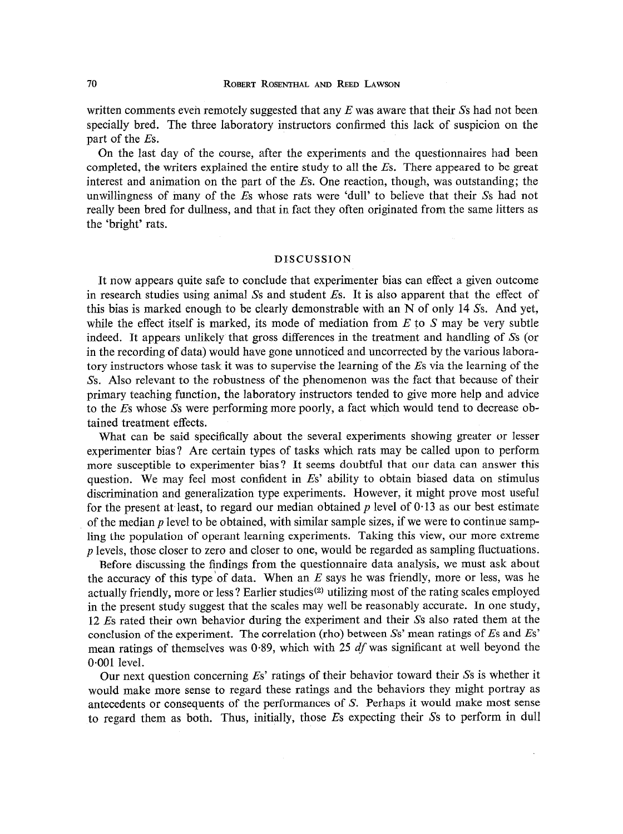written comments eveh remotely suggested that any *E* was aware that their Ss had not been specially bred. The three laboratory instructors confirmed this lack of suspicion on the part of the *Es.* 

On the last day of the course, after the experiments and the questionnaires had been completed, the writers explained the entire study to all the *Es.* There appeared to be great interest and animation on the part of the *Es.* One reaction, though, was outstanding; the unwillingness of many of the *Es* whose rats were 'dull' to believe that their Ss had not really been bred for dullness, and that in fact they often originated from the same litters as the 'bright' rats.

#### **DISCUSSION**

**It** now appears quite safe to conclude that experimenter bias can effect a given outcome in research studies using animal Ss and student *Es.* It is also apparent that the effect of this bias is marked enough to be clearly demonstrable with an N of only 14 Ss. And yet, while the effect itself is marked, its mode of mediation from *E to S* may be very subtle indeed. It appears unlikely that gross differences in the treatment and handling of Ss (or in the recording of data) would have gone unnoticed and uncorrected by the various laboratory instructors whose task it was to supervise the learning of the  $E<sub>S</sub>$  via the learning of the Ss. Also relevant to the robustness of the phenomenon was the fact that because of their primary teaching function, the laboratory instructors tended to give more help and advice to the *Es* whose Ss were performing more poorly, a fact which would tend to decrease obtained treatment effects.

What can be said specifically about the several experiments showing greater or lesser experimenter bias ? Are certain types of tasks which rats may be called upon to perform more susceptible to experimenter bias ? It seems doubtful that our data can answer this question. We may feel most confident in *Es'* ability to obtain biased data on stimulus discrimination and generalization type experiments. However, it might prove most useful for the present at least, to regard our median obtained  $p$  level of 0.13 as our best estimate of the median  $p$  level to be obtained, with similar sample sizes, if we were to continue sampling the population of operant learning experiments. Taking this view, our more extreme p levels, those closer to zero and closer to one, would be regarded as sampling fluctuations.

Before discussing the findings from the questionnaire data analysis, we must ask about the accuracy of this type of data. When an *E* says he was friendly, more or less, was he actually friendly, more or less? Earlier studies $(2)$  utilizing most of the rating scales employed in the present study suggest that the scales may well be reasonably accurate. In one study, 12 *Es* rated their own behavior during the experiment and their Ss also rated them at the conclusion of the experiment. The correlation (rho) between Ss' mean ratings of *Es* and *Es'*  mean ratings of themselves was 0.89, which with 25 *df was* significant at well beyond the 0.001 level.

Our next question concerning *Es'* ratings of their behavior toward their Ss is whether it would make more sense to regard these ratings and the behaviors they might portray as antecedents or consequents of the performances of S. Perhaps it would make most sense to regard them as both. Thus, initially, those *Es* expecting their *Ss* to perform in dull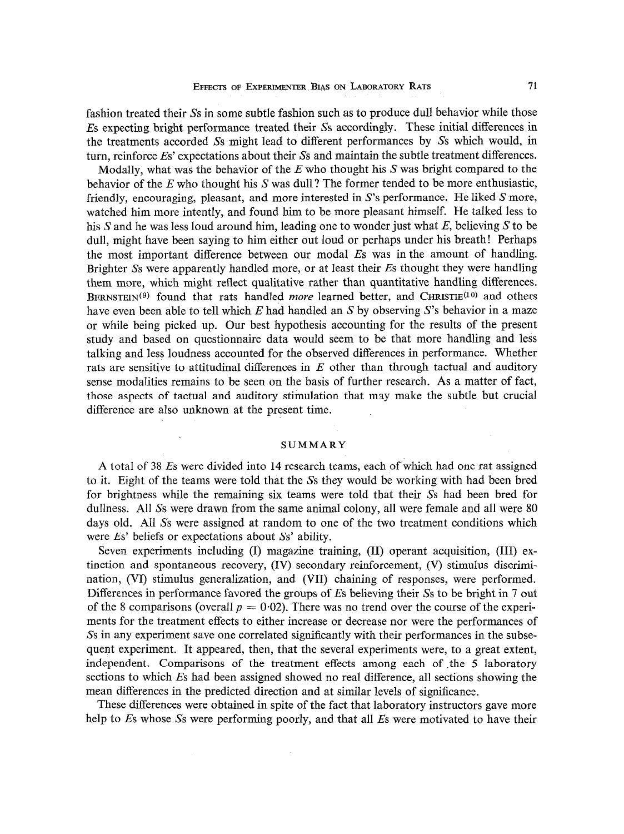fashion treated their Ss in some subtle fashion such as to produce dull behavior while those Es expecting bright performance treated their Ss accordingly. These initial differences in the treatments accorded Ss might lead to different performances by Ss which would, in turn, reinforce *Es'* expectations about their Ss and maintain the subtle treatment differences.

Modally, what was the behavior of the *E* who thought his S was bright compared to the behavior of the *E* who thought his S was dull? The former tended to be more enthusiastic, friendly, encouraging, pleasant, and more interested in  $S$ 's performance. He liked  $S$  more, watched him more intently, and found him to be more pleasant himself. He talked less to his S and he was less loud around him, leading one to wonder just what *E,* believing S to be dull, might have been saying to him either out loud or perhaps under his breath! Perhaps the most important difference between our modal *Es* was in the amount of handling. Brighter Ss were apparently handled more, or at least their *Es* thought they were handling them more, which might reflect qualitative rather than quantitative handling differences.  $BERNSTEIN<sup>(9)</sup>$  found that rats handled *more* learned better, and CHRISTIE<sup>(10)</sup> and others have even been able to tell which *E* had handled an S by observing S's behavior in a maze or while being picked up. Our best hypothesis accounting for the results of the present study and based on questionnaire data would seem to be that more handling and less talking and less loudness accounted for the observed differences in performance. Whether rats are sensitive to attitudinal differences in *E* other than through tactual and auditory sense modalities remains to be seen on the basis of further research. As a matter of fact, those aspects of tactual and auditory stimulation that may make the subtle but crucial difference are also unknown at the present time.

#### **SUMMARY**

A total of 38 *Es* were divided into 14 research teams, each of'which had one rat assigned to it. Eight of the teams were told that the Ss they would be working with had been bred for brightness while the remaining six teams were told that their Ss had been bred for dullness. All Ss were drawn from the same animal colony, all were female and all were 80 days old. All Ss were assigned at random to one of the two treatment conditions which were *Es'* beliefs or expectations about Ss' ability.

Seven experiments including (I) magazine training, (II) operant acquisition, (III) extinction and spontaneous recovery, (IV) secondary reinforcement, (V) stimulus discrimination, (VI) stimulus generalization, and (VII) chaining of responses, were performed. Differences in performance favored the groups of *Es* believing their Ss to be bright in 7 out of the 8 comparisons (overall  $p = 0.02$ ). There was no trend over the course of the experiments for the treatment effects to either increase or decrease nor were the performances of Ss in any experiment save one correlated significantly with their performances in the subsequent experiment. It appeared, then, that the several experiments were, to a great extent, independent. Comparisons of the treatment effects among each of the 5 laboratory sections to which *Es* had been assigned showed no real difference, all sections showing the mean differences in the predicted direction and at similar levels of significance.

These differences were obtained in spite of the fact that laboratory instructors gave more help to *Es* whose Ss were performing poorly, and that all *Es* were motivated to have their